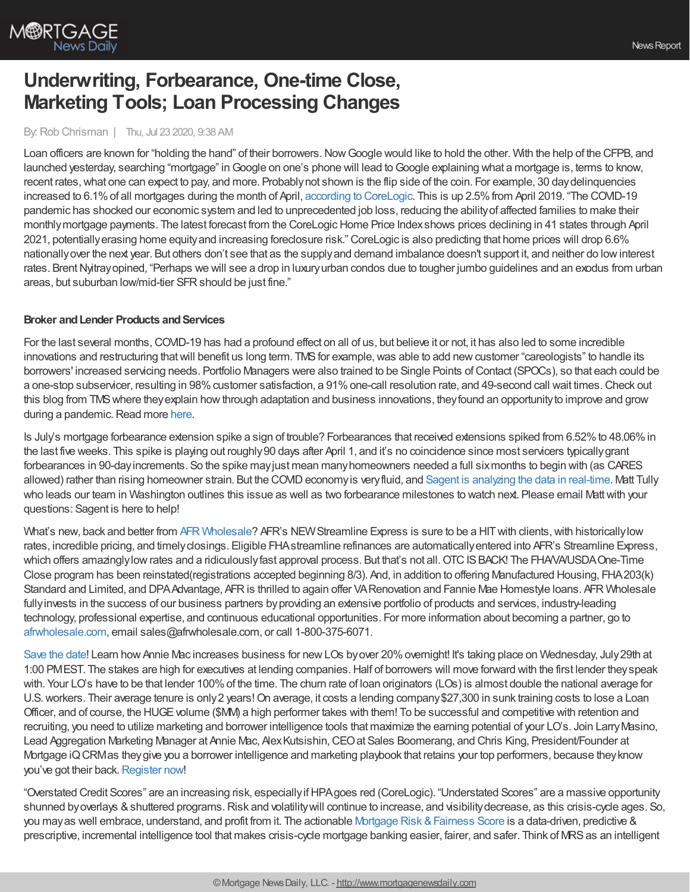

# **Underwriting, Forbearance, One-time Close, Marketing Tools; Loan Processing Changes**

## By:Rob Chrisman | Thu, Jul 23 2020, 9:38 AM

Loan officers are known for "holding the hand" of their borrowers. Now Google would like to hold the other. With the help of the CFPB, and launched yesterday, searching "mortgage" in Google on one's phone will lead to Google explaining what a mortgage is, terms to know, recent rates, what one can expect to pay, and more. Probably not shown is the flip side of the coin. For example, 30 day delinquencies increased to 6.1% of all mortgages during the month of April, according to [CoreLogic](https://www.corelogic.com/insights-download/loan-performance-insights-report.aspx). This is up 2.5% from April 2019. "The COVID-19 pandemic has shocked our economic system and led to unprecedented job loss, reducing the abilityof affected families to make their monthlymortgage payments. The latest forecast from the CoreLogicHome Price Indexshows prices declining in 41 states through April 2021, potentiallyerasing home equityand increasing foreclosure risk." CoreLogic is also predicting that home prices will drop 6.6% nationallyover the next year. But others don't see that as the supplyand demand imbalance doesn't support it, and neither do lowinterest rates. Brent Nyitray opined, "Perhaps we will see a drop in luxury urban condos due to tougher jumbo guidelines and an exodus from urban areas, but suburban low/mid-tier SFRshould be just fine."

## **Broker** and Lender Products and Services

For the last several months,COVID-19 has had a profound effect on all of us, but believe it or not, it has also led to some incredible innovations and restructuring that will benefit us long term. TMS for example, was able to add new customer "careologists" to handle its borrowers' increased servicing needs. Portfolio Managers were also trained to be Single Points of Contact (SPOCs), so that each could be a one-stop subservicer, resulting in 98% customer satisfaction, a 91% one-call resolution rate, and 49-second call wait times. Check out this blog from TMSwhere theyexplain howthrough adaptation and business innovations, theyfound an opportunityto improve and grow during a pandemic. Read more [here](https://correspondent.themoneysource.com/connection/silver-linings-playbook-finding-good-news-in-a-global-crisis/?org=1).

Is July's mortgage forbearance extension spike a sign of trouble? Forbearances that received extensions spiked from 6.52% to 48.06% in the last five weeks. This spike is playing out roughly90 days after April 1, and it's no coincidence since most servicers typicallygrant forbearances in 90-dayincrements. So the spike mayjust mean manyhomeowners needed a full sixmonths to begin with (as CARES allowed) rather than rising homeowner strain. But the COVID economy is very fluid, and Sagent is [analyzing](https://sagentlending.com/about-sagent/) the data in real-time. Matt Tully who leads our team in Washington outlines this issue as well as two forbearance milestones to watch next. Please email Matt with your questions: Sagent is here to help!

What's new, back and better from AFR [Wholesale?](http://afrwholesale.com/) AFR's NEW Streamline Express is sure to be a HIT with clients, with historically low rates, incredible pricing, and timelyclosings. Eligible FHAstreamline refinances are automaticallyentered into AFR's Streamline Express, which offers amazingly low rates and a ridiculously fast approval process. But that's not all. OTC IS BACK! The FHA/VA/USDA One-Time Close program has been reinstated(registrations accepted beginning 8/3). And, in addition to offering Manufactured Housing, FHA203(k) Standard and Limited, and DPAAdvantage, AFRis thrilled to again offer VARenovation and Fannie Mae Homestyle loans. AFR Wholesale fullyinvests in the success of our business partners byproviding an extensive portfolio of products and services, industry-leading technology, professional expertise, and continuous educational opportunities. For more information about becoming a partner, go to [afrwholesale.com](https://www.afrwholesale.com/), email sales@afrwholesale.com, or call 1-800-375-6071.

[Save](https://hubs.ly/H0szhnc0) the date! Learn how Annie Mac increases business for new LOs byover 20% overnight! It's taking place on Wednesday, July 29th at 1:00 PMEST. The stakes are high for executives at lending companies.Half of borrowers will move forward with the first lender theyspeak with. Your LO's have to be that lender 100%of the time. The churn rate of loan originators (LOs) is almost double the national average for U.S. workers. Their average tenure is only 2 years! On average, it costs a lending company \$27,300 in sunk training costs to lose a Loan Officer, and of course, the HUGE volume (\$MM) a high performer takes with them! To be successful and competitive with retention and recruiting, you need to utilize marketing and borrower intelligence tools that maximize the earning potential of your LO's. Join LarryMasino, Lead Aggregation Marketing Manager at Annie Mac, Alex Kutsishin, CEO at Sales Boomerang, and Chris King, President/Founder at Mortgage iQCRMas theygive you a borrower intelligence and marketing playbook that retains your top performers, because theyknow you've got their back. [Register](https://hubs.ly/H0szhnc0) now!

"Overstated Credit Scores" are an increasing risk, especiallyifHPAgoes red (CoreLogic). "Understated Scores" are a massive opportunity shunned by overlays & shuttered programs. Risk and volatility will continue to increase, and visibility decrease, as this crisis-cycle ages. So, you may as well embrace, understand, and profit from it. The actionable Mortgage Risk & Fairness Score is a data-driven, predictive & prescriptive, incremental intelligence tool that makes crisis-cycle mortgage banking easier, fairer, and safer. Think of MRS as an intelligent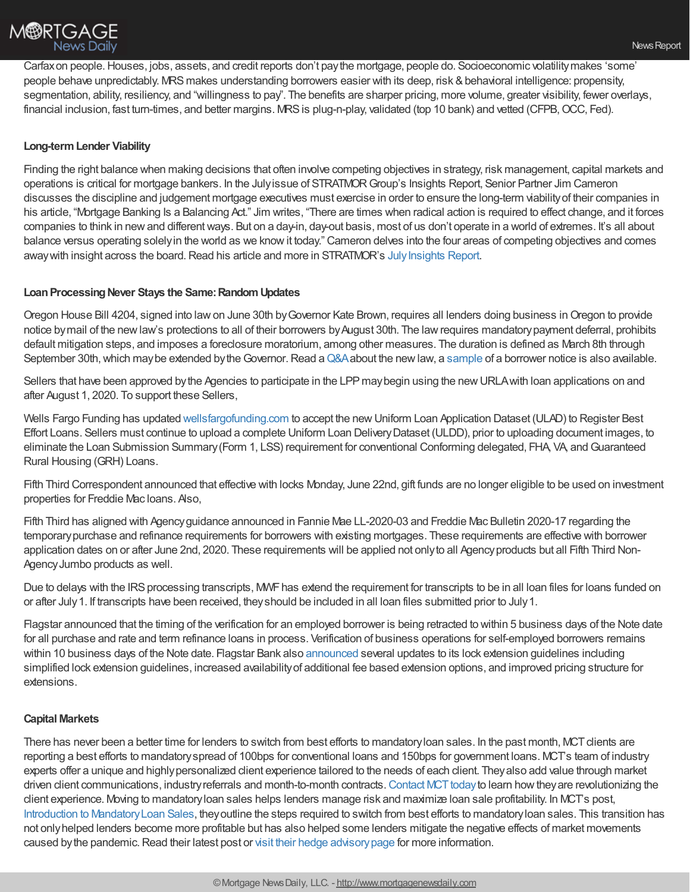

Carfaxon people.Houses, jobs, assets, and credit reports don't paythe mortgage, people do. Socioeconomic volatilitymakes 'some' people behave unpredictably. MRSmakes understanding borrowers easier with its deep, risk &behavioral intelligence: propensity, segmentation, ability, resiliency, and "willingness to pay". The benefits are sharper pricing, more volume, greater visibility, fewer overlays, financial inclusion, fast turn-times, and better margins. MRS is plug-n-play, validated (top 10 bank) and vetted (CFPB, OCC, Fed).

## **Long-termLender Viability**

Finding the right balance when making decisions that often involve competing objectives in strategy, risk management, capital markets and operations is critical for mortgage bankers. In the Julyissue of STRATMORGroup's Insights Report, Senior Partner Jim Cameron discusses the discipline and judgement mortgage executives must exercise in order to ensure the long-term viabilityof their companies in his article, "Mortgage Banking Is a Balancing Act." Jim writes, "There are times when radical action is required to effect change, and it forces companies to think in newand differentways. But on a day-in, day-out basis, most of us don't operate in a world of extremes. It's all about balance versus operating solely in the world as we know it today." Cameron delves into the four areas of competing objectives and comes away with insight across the board. Read his article and more in STRATMOR's July Insights Report.

## **Loan Processing Never Stays the Same: Random Updates**

Oregon House Bill 4204, signed into lawon June 30th byGovernor Kate Brown, requires all lenders doing business inOregon to provide notice by mail of the new law's protections to all of their borrowers by August 30th. The law requires mandatory payment deferral, prohibits default mitigation steps, and imposes a foreclosure moratorium, among other measures. The duration is defined as March 8th through September 30th, which may be extended by the Governor. Read a [Q&A](https://geracilawfirm.com/wp-content/uploads/2020/07/Summary-of-HB-4204.pdf?inf_contact_key=3f4bdaef8eeeb2f06e2cd0278a3fa8e7680f8914173f9191b1c0223e68310bb1) about the new law, a [sample](https://geracilawfirm.com/wp-content/uploads/2020/07/Borrower-Notice-HB-4204.pdf?inf_contact_key=9615afbd843b5333da2205f45de1bf3d680f8914173f9191b1c0223e68310bb1) of a borrower notice is also available.

Sellers that have been approved by the Agencies to participate in the LPP may begin using the new URLA with loan applications on and after August 1, 2020. To support these Sellers,

Wells Fargo Funding has updated [wellsfargofunding.com](https://wffnet.wellsfargo.com/ilonline/funding/wff_landingPageFrameSet.jsp) to accept the newUniform Loan Application Dataset (ULAD) to Register Best Effort Loans. Sellers must continue to upload a complete Uniform Loan DeliveryDataset (ULDD), prior to uploading document images, to eliminate the Loan Submission Summary (Form 1, LSS) requirement for conventional Conforming delegated, FHA, VA, and Guaranteed Rural Housing (GRH) Loans.

Fifth Third Correspondent announced that effective with locks Monday, June 22nd, gift funds are no longer eligible to be used on investment properties for Freddie Mac loans. Also,

Fifth Third has aligned with Agencyguidance announced in Fannie Mae LL-2020-03 and Freddie Mac Bulletin 2020-17 regarding the temporarypurchase and refinance requirements for borrowers with existing mortgages. These requirements are effective with borrower application dates on or after June 2nd, 2020. These requirements will be applied not onlyto all Agencyproducts but all Fifth Third Non-AgencyJumbo products as well.

Due to delays with the IRS processing transcripts, MWF has extend the requirement for transcripts to be in all loan files for loans funded on or after July1. If transcripts have been received, theyshould be included in all loan files submitted prior to July1.

Flagstar announced that the timing of the verification for an employed borrower is being retracted to within 5 business days of the Note date for all purchase and rate and term refinance loans in process. Verification of business operations for self-employed borrowers remains within 10 business days of the Note date. Flagstar Bank also [announced](https://www.flagstar.com/content/dam/tpo/sellers-guide/announcements/20059.pdf) several updates to its lock extension guidelines including simplified lock extension guidelines, increased availabilityof additional fee based extension options, and improved pricing structure for extensions.

## **Capital Markets**

There has never been a better time for lenders to switch from best efforts to mandatory loan sales. In the past month, MCT clients are reporting a best efforts to mandatoryspread of 100bps for conventional loans and 150bps for government loans. MCT's team of industry experts offer a unique and highlypersonalized client experience tailored to the needs of each client. Theyalso add value through market driven client communications, industry referrals and month-to-month contracts. Contact MCT today to learn how they are revolutionizing the client experience. Moving to mandatoryloan sales helps lenders manage risk and maximize loan sale profitability. In MCT's post, Introduction to [MandatoryLoan](https://mct-trading.com/introduction-to-mandatory-loan-sale-delivery/?utm_source=Chrisman%20Blurb&utm_medium=7.22%20Mandatory&utm_campaign=Chrisman%20Blurb) Sales, theyoutline the steps required to switch from best efforts to mandatoryloan sales. This transition has not onlyhelped lenders become more profitable but has also helped some lenders mitigate the negative effects of market movements caused by the pandemic. Read their latest post or visit their hedge advisory page for more information.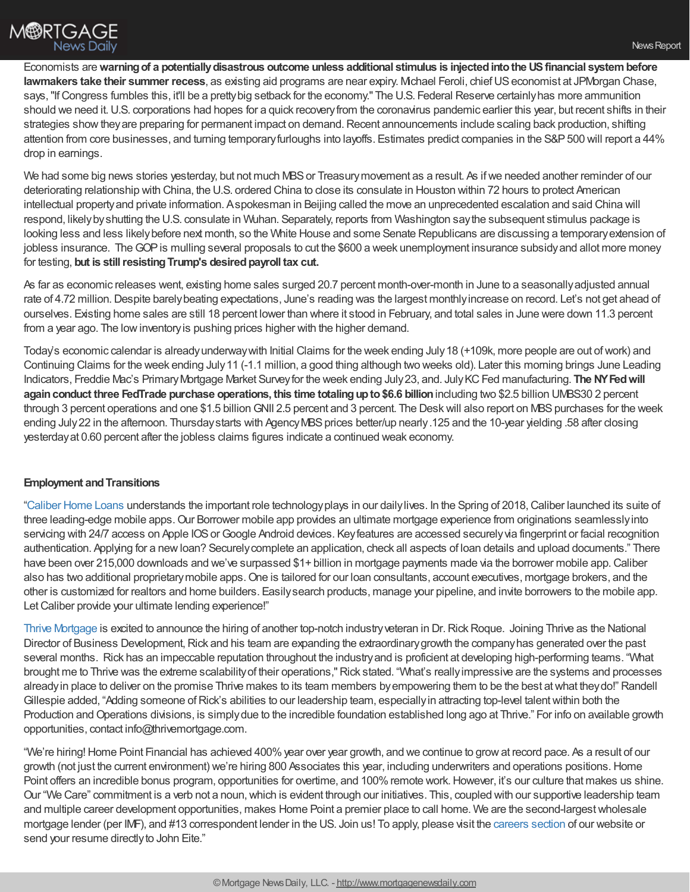

Economists are**warningof a potentiallydisastrous outcome unless additional stimulus is injectedintothe USfinancial systembefore lawmakers take their summer recess**, as existing aid programs are near expiry. Mchael Feroli, chief US economist at JPMorgan Chase, says, "If Congress fumbles this, it'll be a pretty big setback for the economy." The U.S. Federal Reserve certainly has more ammunition should we need it.U.S. corporations had hopes for a quick recoveryfrom the coronavirus pandemic earlier this year, but recent shifts in their strategies show they are preparing for permanent impact on demand. Recent announcements include scaling back production, shifting attention from core businesses, and turning temporaryfurloughs into layoffs. Estimates predict companies in the S&P500 will report a 44% drop in earnings.

We had some big news stories yesterday, but not much MBS or Treasury movement as a result. As if we needed another reminder of our deteriorating relationship with China, the U.S. ordered China to close its consulate in Houston within 72 hours to protect American intellectual propertyand private information. Aspokesman in Beijing called the move an unprecedented escalation and said China will respond, likelybyshutting the U.S. consulate in Wuhan. Separately, reports from Washington saythe subsequent stimulus package is looking less and less likelybefore next month, so the White House and some Senate Republicans are discussing a temporaryextension of jobless insurance. The GOP is mulling several proposals to cut the \$600 a week unemployment insurance subsidy and allot more money for testing, but is still resisting Trump's desired payroll tax cut.

As far as economic releases went, existing home sales surged 20.7 percent month-over-month in June to a seasonallyadjusted annual rate of 4.72 million. Despite barely beating expectations, June's reading was the largest monthly increase on record. Let's not get ahead of ourselves. Existing home sales are still 18 percent lower than where it stood in February, and total sales in June were down 11.3 percent from a year ago. The low inventory is pushing prices higher with the higher demand.

Today's economic calendar is alreadyunderwaywith Initial Claims for the week ending July18 (+109k, more people are out ofwork) and Continuing Claims for the week ending July11 (-1.1 million, a good thing although two weeks old). Later this morning brings June Leading Indicators, Freddie Mac's Primary Mortgage Market Survey for the week ending July 23, and. July KC Fed manufacturing. The NY Fed will **againconduct three FedTrade purchase operations, this time totalingupto\$6.6 billion**including two \$2.5 billion UMBS30 2 percent through 3 percent operations and one \$1.5 billion GNII 2.5 percent and 3 percent. The Desk will also report on MBS purchases for the week ending July 22 in the afternoon. Thursday starts with Agency MBS prices better/up nearly.125 and the 10-year yielding .58 after closing yesterdayat 0.60 percent after the jobless claims figures indicate a continued weak economy.

## **Employment and Transitions**

["Caliber](https://recruiting.adp.com/srccar/public/RTI.home?d=ExternalCaliberHomeLoans&_icx=v02Pg0E8dry77as%252F53w4AJaa70NZw%252Fw8fF8hbFO1EF85wLt9DxjYJuzTaiz3cC3bUG0&c=1060341&_dissimuloSSO=k81IQ_xGY14:XQC7YMN_-Mx6DdXOyW3KVTQohAw) Home Loans understands the important role technologyplays in our dailylives. In the Spring of 2018,Caliber launched its suite of three leading-edge mobile apps. Our Borrower mobile app provides an ultimate mortgage experience from originations seamlesslyinto servicing with 24/7 access on Apple IOS or Google Android devices. Key features are accessed securely via fingerprint or facial recognition authentication. Applying for a newloan? Securelycomplete an application, check all aspects of loan details and upload documents." There have been over 215,000 downloads and we've surpassed \$1+ billion in mortgage payments made via the borrower mobile app. Caliber also has two additional proprietary mobile apps. One is tailored for our loan consultants, account executives, mortgage brokers, and the other is customized for realtors and home builders. Easilysearch products, manage your pipeline, and invite borrowers to the mobile app. Let Caliber provide your ultimate lending experience!"

Thrive [Mortgage](https://join.thrivemortgage.com/) is excited to announce the hiring of another top-notch industry veteran in Dr. Rick Roque. Joining Thrive as the National Director of Business Development, Rick and his team are expanding the extraordinary growth the company has generated over the past several months. Rick has an impeccable reputation throughout the industryand is proficient at developing high-performing teams. "What brought me to Thrive was the extreme scalabilityof their operations,"Rick stated. "What's reallyimpressive are the systems and processes alreadyin place to deliver on the promise Thrive makes to its team members byempowering them to be the best atwhat theydo!" Randell Gillespie added, "Adding someone of Rick's abilities to our leadership team, especially in attracting top-level talent within both the Production and Operations divisions, is simply due to the incredible foundation established long ago at Thrive." For info on available growth opportunities, contact info@thrivemortgage.com.

"We're hiring! Home Point Financial has achieved 400% year over year growth, and we continue to grow at record pace. As a result of our growth (not just the current environment) we're hiring 800 Associates this year, including underwriters and operations positions.Home Point offers an incredible bonus program, opportunities for overtime, and 100% remote work. However, it's our culture that makes us shine. Our "We Care" commitment is a verb not a noun, which is evident through our initiatives. This, coupled with our supportive leadership team and multiple career development opportunities, makes Home Point a premier place to call home. We are the second-largestwholesale mortgage lender (per IMF), and #13 correspondent lender in the US. Join us! To apply, please visit the [careers](https://www.homepointfinancial.com/careers) section of our website or send your resume directly to John Eite."